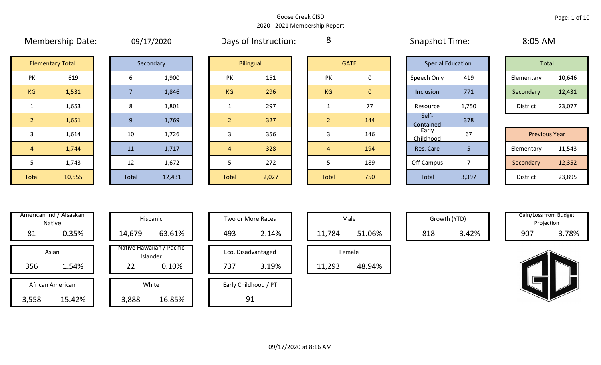|                |                         | <u>--------</u> |   |
|----------------|-------------------------|-----------------|---|
|                | <b>Elementary Total</b> | Secondary       |   |
| PK             | 619                     | 6               |   |
| KG             | 1,531                   | 7               |   |
| $\mathbf{1}$   | 1,653                   | 8               |   |
| $\overline{2}$ | 1,651                   | 9               |   |
| 3              | 1,614                   | 10              |   |
| 4              | 1,744                   | 11              |   |
| 5              | 1,743                   | 12              |   |
| <b>Total</b>   | 10,555                  | <b>Total</b>    | 1 |

|  | 09/17/2020 |
|--|------------|
|  |            |

Membership Date: 09/17/2020 Snapshot Time: 8:05 AM Days of Instruction:

8

| Total           |        |  |  |  |  |  |
|-----------------|--------|--|--|--|--|--|
| Elementary      | 10,646 |  |  |  |  |  |
| Secondary       | 12,431 |  |  |  |  |  |
| <b>District</b> | 23,077 |  |  |  |  |  |

| <b>Previous Year</b> |        |  |  |  |  |  |
|----------------------|--------|--|--|--|--|--|
| Elementary           | 11,543 |  |  |  |  |  |
| Secondary            | 12,352 |  |  |  |  |  |
| <b>District</b>      | 23,895 |  |  |  |  |  |

| PК             | 619    |
|----------------|--------|
| KG             | 1,531  |
| 1              | 1,653  |
| $\overline{2}$ | 1,651  |
| 3              | 1,614  |
| 4              | 1,744  |
| 5              | 1,743  |
| <b>Total</b>   | 10,555 |

| Secondary |        |  |  |  |  |  |
|-----------|--------|--|--|--|--|--|
| 6         | 1,900  |  |  |  |  |  |
| 7         | 1,846  |  |  |  |  |  |
| 8         | 1,801  |  |  |  |  |  |
| 9         | 1,769  |  |  |  |  |  |
| 10        | 1,726  |  |  |  |  |  |
| 11        | 1,717  |  |  |  |  |  |
| 12        | 1,672  |  |  |  |  |  |
| Total     | 12,431 |  |  |  |  |  |

|              | <b>Elementary Total</b> |       | Secondary |                | <b>Bilingual</b><br><b>GATE</b> |  |       |                |                    |                          |                      |        |  |  |  |  |  |  |  |  |  |  |  |  |  |  | <b>Special Education</b> |  | Total |  |
|--------------|-------------------------|-------|-----------|----------------|---------------------------------|--|-------|----------------|--------------------|--------------------------|----------------------|--------|--|--|--|--|--|--|--|--|--|--|--|--|--|--|--------------------------|--|-------|--|
| PK           | 619                     | 6     | 1,900     | PK             | 151                             |  | PK    | 0              | Speech Only        | 419                      | Elementary           | 10,646 |  |  |  |  |  |  |  |  |  |  |  |  |  |  |                          |  |       |  |
| KG           | 1,531                   |       | 1,846     | KG             | 296                             |  | KG    | $\overline{0}$ | Inclusion          | 771                      | Secondary            | 12,431 |  |  |  |  |  |  |  |  |  |  |  |  |  |  |                          |  |       |  |
| 1            | 1,653                   | 8     | 1,801     |                | 297                             |  |       | 77             | Resource           | 1,750                    | District             | 23,077 |  |  |  |  |  |  |  |  |  |  |  |  |  |  |                          |  |       |  |
| <sup>2</sup> | 1,651                   | 9     | 1,769     | $\overline{2}$ | 327                             |  |       | 144            | Self-<br>Contained | 378                      |                      |        |  |  |  |  |  |  |  |  |  |  |  |  |  |  |                          |  |       |  |
| 3            | 1,614                   | 10    | 1,726     |                | 356                             |  |       | 146            | Early<br>Childhood | 67                       | <b>Previous Year</b> |        |  |  |  |  |  |  |  |  |  |  |  |  |  |  |                          |  |       |  |
| $\sqrt{4}$   | 1,744                   | 11    | 1,717     | $\overline{4}$ | 328                             |  | 4     | 194            | Res. Care          | 5                        | Elementary           | 11,543 |  |  |  |  |  |  |  |  |  |  |  |  |  |  |                          |  |       |  |
| 5            | 1,743                   | 12    | 1,672     |                | 272                             |  |       | 189            | Off Campus         | $\overline{\phantom{a}}$ | Secondary            | 12,352 |  |  |  |  |  |  |  |  |  |  |  |  |  |  |                          |  |       |  |
| Total        | 10,555                  | Total | 12,431    | Total          | 2,027                           |  | Total | 750            | Total              | 3,397                    | District             | 23,895 |  |  |  |  |  |  |  |  |  |  |  |  |  |  |                          |  |       |  |

| <b>GATE</b>    |     |  |  |  |  |  |
|----------------|-----|--|--|--|--|--|
| PK             | 0   |  |  |  |  |  |
| KG             | 0   |  |  |  |  |  |
| $\mathbf 1$    | 77  |  |  |  |  |  |
| $\overline{2}$ | 144 |  |  |  |  |  |
| 3              | 146 |  |  |  |  |  |
| 4              | 194 |  |  |  |  |  |
| 5              | 189 |  |  |  |  |  |
| <b>Total</b>   | 750 |  |  |  |  |  |

|                    | <b>Special Education</b> |  | <b>Total</b>         |        |  |  |  |
|--------------------|--------------------------|--|----------------------|--------|--|--|--|
| Speech Only        | 419                      |  | Elementary           | 10,646 |  |  |  |
| Inclusion          | 771                      |  | Secondary            | 12,431 |  |  |  |
| Resource           | 1,750                    |  | <b>District</b>      | 23,077 |  |  |  |
| Self-<br>Contained | 378<br>67                |  |                      |        |  |  |  |
| Early<br>Childhood |                          |  | <b>Previous Year</b> |        |  |  |  |
| Res. Care          | 5                        |  | Elementary           | 11,543 |  |  |  |
| Off Campus         | 7                        |  | Secondary            | 12,352 |  |  |  |
| <b>Total</b>       | 3,397                    |  | <b>District</b>      | 23,895 |  |  |  |

| Hispani                    |        | American Ind / Alsaskan<br><b>Native</b> |  |  |  |  |  |
|----------------------------|--------|------------------------------------------|--|--|--|--|--|
| 14,679                     | 0.35%  | 81                                       |  |  |  |  |  |
| Native Hawaiiai<br>Islande |        | Asian                                    |  |  |  |  |  |
| 22                         | 1.54%  | 356                                      |  |  |  |  |  |
| White                      |        | African American                         |  |  |  |  |  |
| 3,888                      | 15.42% | 3,558                                    |  |  |  |  |  |

|      | merican Ind / Alsaskan<br>Native |  |                                       | Hispanic<br>Two or More Races |                      |     |        |        | Male   |
|------|----------------------------------|--|---------------------------------------|-------------------------------|----------------------|-----|--------|--------|--------|
| 81   | 0.35%                            |  | 14,679                                | 63.61%                        |                      | 493 | 2.14%  | 11,784 | 51.06% |
|      | Asian                            |  | Native Hawaiian / Pacific<br>Islander |                               | Eco. Disadvantaged   |     | Female |        |        |
| 356  | 1.54%                            |  | 22                                    | 0.10%                         |                      | 737 | 3.19%  | 11,293 | 48.94% |
|      | White<br>African American        |  |                                       |                               | Early Childhood / PT |     |        |        |        |
| ,558 | 15.42%                           |  | 3,888                                 | 16.85%                        |                      |     | 91     |        |        |

| Hispanic                       | Two or More Races    | Male   |
|--------------------------------|----------------------|--------|
| 63.61%                         | 493<br>2.14%         | 11,784 |
| lawaiian / Pacific<br>Islander | Eco. Disadvantaged   | Female |
| 0.10%                          | 3.19%<br>737         | 11,293 |
| White                          | Early Childhood / PT |        |
| 16.85%                         | 91                   |        |

|     | herican Ind / Alsaskan<br>Native |           | Hispanic                              |     | Two or More Races  |        | Male   |        | Growth (YTD) |        | Gain/Loss from Budget<br>Projection |
|-----|----------------------------------|-----------|---------------------------------------|-----|--------------------|--------|--------|--------|--------------|--------|-------------------------------------|
| 81  | 0.35%                            | 14,679    | 63.61%                                | 493 | 2.14%              | 11,784 | 51.06% | $-818$ | $-3.42%$     | $-907$ | $-3.78%$                            |
|     | Asian                            |           | Native Hawaiian / Pacific<br>Islander |     | Eco. Disadvantaged |        | Female |        |              |        |                                     |
| 356 | 1.54%                            | ົາາ<br>ᅩᅩ | $0.10\%$                              | 737 | 3.19%              | 11,293 | 48.94% |        |              |        |                                     |

|      | Gain/Loss from Budget |
|------|-----------------------|
|      | Projection            |
| -907 | $-3.78%$              |

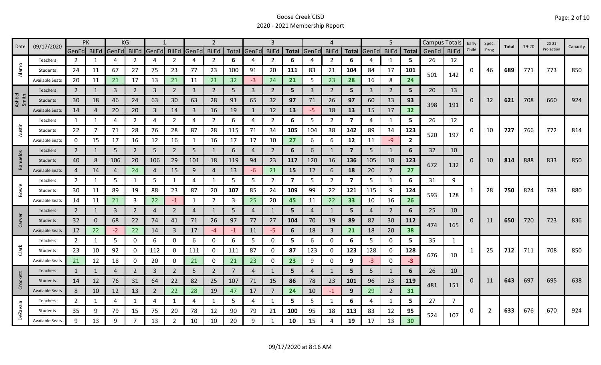|                 | 09/17/2020             | <b>PK</b>      |              |                | KG             |                |                |       | $\overline{2}$ |                |              | 3              |     |                | 4              |                         |                | 5              |                |       | Campus Totals  | Early    | Spec. | Total | $19 - 20$ | $20 - 21$  |          |
|-----------------|------------------------|----------------|--------------|----------------|----------------|----------------|----------------|-------|----------------|----------------|--------------|----------------|-----|----------------|----------------|-------------------------|----------------|----------------|----------------|-------|----------------|----------|-------|-------|-----------|------------|----------|
| Date            |                        | GenEd BilEd    |              | GenEd BilEd    |                | GenEd          | <b>BilEd</b>   | GenEd | <b>BilEd</b>   |                | Total GenEd  | <b>BilEd</b>   |     | Total GenEd    | <b>BilEd</b>   | <b>Total</b>            | GenEd          | <b>BilEd</b>   | <b>Total</b>   | GenEd | <b>BilEd</b>   | Child    | Prog  |       |           | Projection | Capacity |
|                 | Teachers               | 2              | 1            | 4              | 2              | 4              | $\overline{2}$ | 4     | $\overline{2}$ | 6              | 4            | 2              | 6   |                | 2              | 6                       |                | 1              | 5              | 26    | 12             |          |       |       |           |            |          |
| Alamo           | Students               | 24             | 11           | 67             | 27             | 75             | 23             | 77    | 23             | 100            | 91           | 20             | 111 | 83             | 21             | 104                     | 84             | 17             | 101            | 501   | 142            | 0        | 46    | 689   | 771       | 773        | 850      |
|                 | <b>Available Seats</b> | 20             | 11           | 21             | 17             | 13             | 21             | 11    | 21             | 32             | $-3$         | 24             | 21  | 5              | 23             | 28                      | 16             | 8              | 24             |       |                |          |       |       |           |            |          |
|                 | <b>Teachers</b>        | $\overline{2}$ | 1            | $\overline{3}$ | $\overline{2}$ | $\overline{3}$ | $\overline{2}$ | 3     | $\overline{2}$ | 5              | 3            | $\overline{2}$ | 5   | $\mathbf{3}$   | 2              | 5                       | $\overline{3}$ | $\overline{2}$ | 5              | 20    | 13             |          |       |       |           |            |          |
| Ashbel<br>Smith | Students               | 30             | 18           | 46             | 24             | 63             | 30             | 63    | 28             | 91             | 65           | 32             | 97  | 71             | 26             | 97                      | 60             | 33             | 93             | 398   |                | $\Omega$ | 32    | 621   | 708       | 660        | 924      |
|                 | <b>Available Seats</b> | 14             | 4            | 20             | 20             | 3              | 14             | 3     | 16             | 19             | $\mathbf{1}$ | 12             | 13  | $-5$           | 18             | 13                      | 15             | 17             | 32             |       | 191            |          |       |       |           |            |          |
|                 | Teachers               | 1              | 1            | 4              | 2              | 4              | $\overline{2}$ | 4     | $\overline{2}$ | 6              | 4            | $\overline{2}$ | 6   | 5              | $\overline{2}$ | $\overline{\mathbf{z}}$ | 4              | 1              | 5              | 26    | 12             |          |       |       |           |            |          |
| Austin          | Students               | 22             | 7            | 71             | 28             | 76             | 28             | 87    | 28             | 115            | 71           | 34             | 105 | 104            | 38             | 142                     | 89             | 34             | 123            | 520   |                | 0        | 10    | 727   | 766       | 772        | 814      |
|                 | <b>Available Seats</b> | 0              | 15           | 17             | 16             | 12             | 16             | 1     | 16             | 17             | 17           | 10             | 27  | 6              | 6              | 12                      | 11             | $-9$           | $\overline{2}$ |       | 197            |          |       |       |           |            |          |
|                 | <b>Teachers</b>        | $\overline{2}$ | 1            | 5              | $\overline{2}$ | 5              | $\overline{2}$ | 5     | $\mathbf{1}$   | 6              | 4            | $\overline{2}$ | 6   | 6              | -1             | $\overline{7}$          | 5              | 1              | 6              | 32    | 10             |          |       |       |           |            |          |
| Banuelos        | Students               | 40             | 8            | 106            | 20             | 106            | 29             | 101   | 18             | 119            | 94           | 23             | 117 | 120            | 16             | 136                     | 105            | 18             | 123            |       |                | 0        | 10    | 814   | 888       | 833        | 850      |
|                 | <b>Available Seats</b> | 4              | 14           | 4              | 24             | 4              | 15             | 9     | 4              | 13             | -6           | 21             | 15  | 12             | 6              | 18                      | 20             | $\overline{7}$ | 27             | 672   | 132            |          |       |       |           |            |          |
|                 | Teachers               | $\overline{2}$ | $\mathbf{1}$ | 5              |                | 5              | $\mathbf{1}$   | 4     | $\mathbf{1}$   | 5              | 5            | $\overline{2}$ | 7   | 5              | $\overline{2}$ | $\overline{\mathbf{z}}$ | 5              | $\mathbf{1}$   | 6              | 31    | 9              |          |       |       |           |            |          |
| Bowie           | Students               | 30             | 11           | 89             | 19             | 88             | 23             | 87    | 20             | 107            | 85           | 24             | 109 | 99             | 22             | 121                     | 115            | 9              | 124            |       |                |          | 28    | 750   | 824       | 783        | 880      |
|                 | <b>Available Seats</b> | 14             | 11           | 21             | 3              | 22             | $-1$           | 1     | $\overline{2}$ | 3              | 25           | 20             | 45  | 11             | 22             | 33                      | 10             | 16             | 26             | 593   | 128            |          |       |       |           |            |          |
|                 | Teachers               | $\overline{2}$ | $\mathbf{1}$ | 3              | $\overline{2}$ | $\overline{4}$ | $\overline{2}$ | 4     | 1              | 5              | 4            | 1              | 5   | 4              | 1              | 5                       | 4              | $\overline{2}$ | 6              | 25    | 10             |          |       |       |           |            |          |
| Carver          | Students               | 32             | 0            | 68             | 22             | 74             | 41             | 71    | 26             | 97             | 77           | 27             | 104 | 70             | 19             | 89                      | 82             | 30             | 112            | 474   |                | 0        | 11    | 650   | 720       | 723        | 836      |
|                 | <b>Available Seats</b> | 12             | 22           | $-2$           | 22             | 14             | $\overline{3}$ | 17    | $-4$           | $-1$           | 11           | $-5$           | 6   | 18             | 3              | 21                      | 18             | 20             | 38             |       | 165            |          |       |       |           |            |          |
|                 | Teachers               | $\overline{2}$ | 1            | 5              | $\mathbf 0$    | 6              | 0              | 6     | 0              | 6              | 5.           | 0              | 5   | 6              | 0              | 6                       | 5              | $\mathbf 0$    | 5              | 35    | 1              |          |       |       |           |            |          |
| Clark           | Students               | 23             | 10           | 92             | 0              | 112            | $\mathbf{0}$   | 111   | 0              | 111            | 87           | 0              | 87  | 123            | 0              | 123                     | 128            | 0              | 128            | 676   |                |          | 25    | 712   | 711       | 708        | 850      |
|                 | <b>Available Seats</b> | 21             | 12           | 18             | 0              | 20             | 0              | 21    | $\mathbf 0$    | 21             | 23           | 0              | 23  | 9              | 0              | 9                       | $-3$           | $\mathbf 0$    | $-3$           |       | 10             |          |       |       |           |            |          |
|                 | Teachers               | $\mathbf{1}$   | 1            | 4              | $\overline{2}$ | 3              | $\overline{2}$ | 5     | $\overline{2}$ | $\overline{7}$ | 4            |                | 5   | $\overline{4}$ | $\mathbf{1}$   | 5                       | 5              | 1              | 6              | 26    | 10             |          |       |       |           |            |          |
| Crockett        | Students               | 14             | 12           | 76             | 31             | 64             | 22             | 82    | 25             | 107            | 71           | 15             | 86  | 78             | 23             | 101                     | 96             | 23             | 119            |       |                | 0        | 11    | 643   | 697       | 695        | 638      |
|                 | <b>Available Seats</b> | 8              | 10           | 12             | 13             | $\overline{2}$ | 22             | 28    | 19             | 47             | 17           | $\overline{7}$ | 24  | 10             | $-1$           | 9                       | 29             | $\overline{2}$ | 31             | 481   | 151            |          |       |       |           |            |          |
|                 | Teachers               | $\overline{2}$ | 1            | 4              | 1              | 4              | $\mathbf{1}$   | 4     | $\mathbf{1}$   | 5.             | 4            | 1              | 5   | 5              | $\mathbf{1}$   | 6                       | 4              | $\mathbf{1}$   | 5.             | 27    | $\overline{7}$ |          |       |       |           |            |          |
| <b>DeZavala</b> | Students               | 35             | 9            | 79             | 15             | 75             | 20             | 78    | 12             | 90             | 79           | 21             | 100 | 95             | 18             | 113                     | 83             | 12             | 95             | 524   | 107            | 0        | 2     | 633   | 676       | 670        | 924      |
|                 | <b>Available Seats</b> | 9              | 13           | 9              |                | 13             | 2              | 10    | 10             | 20             | 9            |                | 10  | 15             | 4              | 19                      | 17             | 13             | 30             |       |                |          |       |       |           |            |          |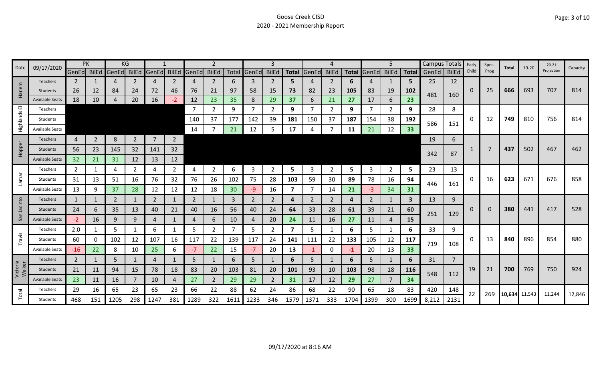| Date               | 09/17/2020             |                | PK             |       | KG             |                |                |             |                |      |             | 3              |                         |             |              |      |                   | 5              |           | Campus Totals |                | Early | Spec. | Total         | 19-20 | $20 - 21$  | Capacity |
|--------------------|------------------------|----------------|----------------|-------|----------------|----------------|----------------|-------------|----------------|------|-------------|----------------|-------------------------|-------------|--------------|------|-------------------|----------------|-----------|---------------|----------------|-------|-------|---------------|-------|------------|----------|
|                    |                        | GenEd BilEd    |                | GenEd | BilEd          | GenEd          | <b>BilEd</b>   | GenEd BilEd |                |      | Total GenEd | <b>BilEd</b>   |                         | Total GenEd | <b>BilEd</b> |      | Total GenEd BilEd |                |           | Total GenEd   | <b>BilEd</b>   | Child | Prog  |               |       | Projection |          |
|                    | <b>Teachers</b>        | $\mathbf{2}$   |                | 4     | 2              | 4              | 2              | 4           | $\overline{2}$ | 6    | 3           | 2              | 5.                      |             | 2            | 6    | 4                 |                | 5         | 25            | 12             |       |       |               |       |            |          |
| Harlem             | Students               | 26             | 12             | 84    | 24             | 72             | 46             | 76          | 21             | 97   | 58          | 15             | 73                      | 82          | 23           | 105  | 83                | 19             | 102       | 481           | 160            | 0     | 25    | 666           | 693   | 707        | 814      |
|                    | <b>Available Seats</b> | 18             | 10             | 4     | 20             | 16             | $-2$           | 12          | 23             | 35   | 8           | 29             | 37                      | 6           | 21           | 27   | 17                | 6              | 23        |               |                |       |       |               |       |            |          |
| ш                  | Teachers               |                |                |       |                |                |                | 7           | $\mathbf{2}$   | 9    | 7           | 2              | 9                       |             | 2            | 9    | -7                | $\overline{2}$ | 9         | 28            | 8              |       |       |               |       |            |          |
| Highlands          | Students               |                |                |       |                |                |                | 140         | 37             | 177  | 142         | 39             | 181                     | 150         | 37           | 187  | 154               | 38             | 192       | 586           | 151            | 0     | 12    | 749           | 810   | 756        | 814      |
|                    | <b>Available Seats</b> |                |                |       |                |                |                | 14          |                | 21   | 12          | 5              | 17                      |             |              | 11   | 21                | 12             | 33        |               |                |       |       |               |       |            |          |
|                    | Teachers               | 4              | $\overline{2}$ | 8     | $\overline{2}$ | $\overline{7}$ | $\overline{2}$ |             |                |      |             |                |                         |             |              |      |                   |                |           | 19            | 6              |       |       |               |       |            |          |
| Hopper             | Students               | 56             | 23             | 145   | 32             | 141            | 32             |             |                |      |             |                |                         |             |              |      |                   |                |           |               |                |       |       | 437           | 502   | 467        | 462      |
|                    | <b>Available Seats</b> | 32             | 21             | 31    | 12             | 13             | 12             |             |                |      |             |                |                         |             |              |      |                   |                |           | 342           | 87             |       |       |               |       |            |          |
|                    | Teachers               | 2              | 1              | 4     | 2              | 4              | $\overline{2}$ | 4           | $\overline{2}$ | 6    | 3           | 2              | 5                       | 3           | 2            | 5    | 3                 | $\overline{2}$ | 5         | 23            | 13             |       |       |               |       |            |          |
| <b>Lamar</b>       | Students               | 31             | 13             | 51    | 16             | 76             | 32             | 76          | 26             | 102  | 75          | 28             | 103                     | 59          | 30           | 89   | 78                | 16             | 94        |               |                | 0     | 16    | 623           | 671   | 676        | 858      |
|                    | <b>Available Seats</b> | 13             | 9              | 37    | 28             | 12             | 12             | 12          | 18             | 30   | $-9$        | 16             | 7                       |             | 14           | 21   | -3                | 34             | 31        | 446           | 161            |       |       |               |       |            |          |
|                    | <b>Teachers</b>        | 1              | 1              | 2     | 1              | 2              | 1              | 2           | $\mathbf{1}$   | 3    | 2           | $\overline{2}$ | 4                       | 2           | 2            | 4    | 2                 | 1              | 3         | 13            | 9              |       |       |               |       |            |          |
| Jacinto            | Students               | 24             | 6              | 35    | 13             | 40             | 21             | 40          | 16             | 56   | 40          | 24             | 64                      | 33          | 28           | 61   | 39                | 21             | 60        |               |                | 0     | 0     | 380           | 441   | 417        | 528      |
| San                | <b>Available Seats</b> | $-2$           | 16             | 9     | 9              | 4              | 1              | 4           | 6              | 10   | 4           | 20             | 24                      | 11          | 16           | 27   | 11                | 4              | <b>15</b> | 251           | 129            |       |       |               |       |            |          |
|                    | Teachers               | 2.0            | 1              | 5     |                | 6              | 1              | 5           | $\overline{2}$ | 7    | 5           | 2              | $\overline{\mathbf{z}}$ | 5           |              | 6    | 5                 | 1              | 6         | 33            | 9              |       |       |               |       |            |          |
| Travis             | Students               | 60             | 0              | 102   | 12             | 107            | 16             | 117         | 22             | 139  | 117         | 24             | 141                     | 111         | 22           | 133  | 105               | 12             | 117       |               |                | 0     | 13    | 840           | 896   | 854        | 880      |
|                    | <b>Available Seats</b> | $-16$          | 22             | 8     | 10             | 25             | 6              | $-7$        | 22             | 15   | $-7$        | 20             | 13                      | $-1$        | $\mathbf 0$  | $-1$ | 20                | 13             | 33        | 719           | 108            |       |       |               |       |            |          |
|                    | Teachers               | $\overline{2}$ | 1              | 5     |                | 4              |                | 5           | $\mathbf{1}$   | 6    | 5           |                | 6                       | 5           | 1            | 6    | 5                 | 1              | 6         | 31            | $\overline{7}$ |       |       |               |       |            |          |
| Victoria<br>Walker | Students               | 21             | 11             | 94    | 15             | 78             | 18             | 83          | 20             | 103  | 81          | 20             | 101                     | 93          | 10           | 103  | 98                | 18             | 116       |               |                | 19    | 21    | 700           | 769   | 750        | 924      |
|                    | <b>Available Seats</b> | 23             | 11             | 16    |                | 10             | 4              | 27          | $\overline{2}$ | 29   | 29          | $\overline{2}$ | 31                      | 17          | 12           | 29   | 27                | 7              | 34        | 548           | 112            |       |       |               |       |            |          |
|                    | Teachers               | 29             | 16             | 65    | 23             | 65             | 23             | 66          | 22             | 88   | 62          | 24             | 86                      | 68          | 22           | 90   | 65                | 18             | 83        | 420           | 148            |       |       |               |       |            |          |
| Total              | Students               | 468            | 151            | 1205  | 298            | 1247           | 381            | 1289        | 322            | 1611 | 1233        | 346            | 1579                    | 1371        | 333          | 1704 | 1399              | 300            | 1699      | 8,212         | 2131           | 22    | 269   | 10,634 11,543 |       | 11,244     | 12,846   |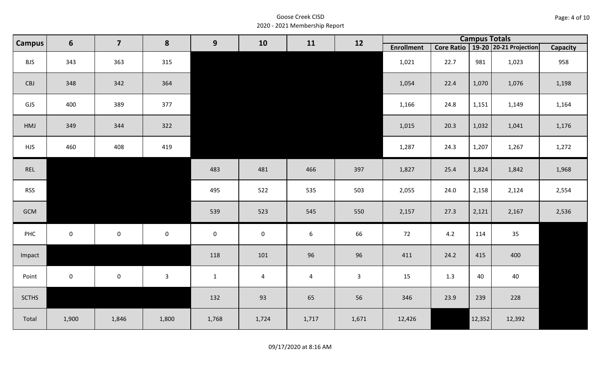| Page: 4 of 10 |  |
|---------------|--|
|---------------|--|

| <b>Campus</b> | $6\phantom{1}$ | $\overline{\mathbf{z}}$ | 8            | 9                   | 10                  | 11             | 12           |                   |      | <b>Campus Totals</b> |                                       |                 |
|---------------|----------------|-------------------------|--------------|---------------------|---------------------|----------------|--------------|-------------------|------|----------------------|---------------------------------------|-----------------|
|               |                |                         |              |                     |                     |                |              | <b>Enrollment</b> |      |                      | Core Ratio   19-20   20-21 Projection | <b>Capacity</b> |
| <b>BJS</b>    | 343            | 363                     | 315          |                     |                     |                |              | 1,021             | 22.7 | 981                  | 1,023                                 | 958             |
| CBJ           | 348            | 342                     | 364          |                     |                     |                |              | 1,054             | 22.4 | 1,070                | 1,076                                 | 1,198           |
| GJS           | 400            | 389                     | 377          |                     |                     |                |              | 1,166             | 24.8 | 1,151                | 1,149                                 | 1,164           |
| HMJ           | 349            | 344                     | 322          |                     |                     |                |              | 1,015             | 20.3 | 1,032                | 1,041                                 | 1,176           |
| <b>HJS</b>    | 460            | 408                     | 419          |                     |                     |                |              | 1,287             | 24.3 | 1,207                | 1,267                                 | 1,272           |
| REL           |                |                         |              | 483                 | 481                 | 466            | 397          | 1,827             | 25.4 | 1,824                | 1,842                                 | 1,968           |
| <b>RSS</b>    |                |                         |              | 495                 | 522                 | 535            | 503          | 2,055             | 24.0 | 2,158                | 2,124                                 | 2,554           |
| GCM           |                |                         |              | 539                 | 523                 | 545            | 550          | 2,157             | 27.3 | 2,121                | 2,167                                 | 2,536           |
| PHC           | $\mathbf 0$    | $\mathsf{O}$            | $\mathbf 0$  | $\mathsf{O}\xspace$ | $\mathsf{O}\xspace$ | $6\phantom{1}$ | 66           | 72                | 4.2  | 114                  | 35                                    |                 |
| Impact        |                |                         |              | 118                 | 101                 | 96             | 96           | 411               | 24.2 | 415                  | 400                                   |                 |
| Point         | $\mathbf{0}$   | $\mathbf 0$             | $\mathbf{3}$ | $\mathbf{1}$        | $\overline{a}$      | $\overline{4}$ | $\mathbf{3}$ | 15                | 1.3  | 40                   | 40                                    |                 |
| <b>SCTHS</b>  |                |                         |              | 132                 | 93                  | 65             | 56           | 346               | 23.9 | 239                  | 228                                   |                 |
| Total         | 1,900          | 1,846                   | 1,800        | 1,768               | 1,724               | 1,717          | 1,671        | 12,426            |      | 12,352               | 12,392                                |                 |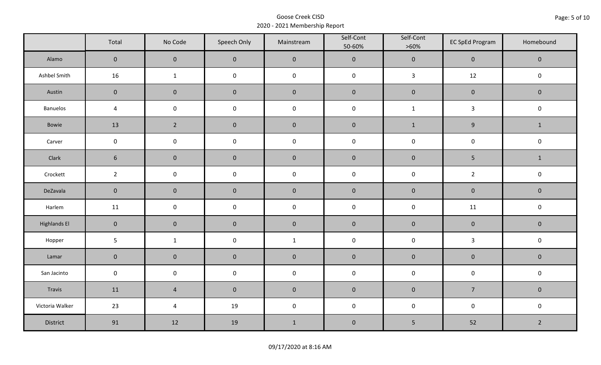|                     | Total               | No Code             | Speech Only         | Mainstream   | Self-Cont<br>50-60% | Self-Cont<br>$>60\%$ | <b>EC SpEd Program</b> | Homebound      |
|---------------------|---------------------|---------------------|---------------------|--------------|---------------------|----------------------|------------------------|----------------|
| Alamo               | $\mathbf 0$         | $\mathbf 0$         | $\mathbf 0$         | $\pmb{0}$    | $\pmb{0}$           | $\pmb{0}$            | $\pmb{0}$              | $\mathbf 0$    |
| Ashbel Smith        | 16                  | $\mathbf{1}$        | $\mathsf{O}\xspace$ | $\pmb{0}$    | $\pmb{0}$           | $\mathbf{3}$         | 12                     | $\pmb{0}$      |
| Austin              | $\mathbf 0$         | $\mathbf 0$         | $\mathbf 0$         | $\pmb{0}$    | $\pmb{0}$           | $\pmb{0}$            | $\pmb{0}$              | $\pmb{0}$      |
| <b>Banuelos</b>     | $\sqrt{4}$          | $\mathsf{O}\xspace$ | $\pmb{0}$           | $\pmb{0}$    | $\pmb{0}$           | $\mathbf 1$          | $\mathbf{3}$           | $\pmb{0}$      |
| Bowie               | 13                  | $\overline{2}$      | $\pmb{0}$           | $\pmb{0}$    | $\pmb{0}$           | $\mathbf{1}$         | $\boldsymbol{9}$       | $\mathbf{1}$   |
| Carver              | $\mathsf{O}\xspace$ | $\pmb{0}$           | $\pmb{0}$           | $\pmb{0}$    | $\pmb{0}$           | $\pmb{0}$            | $\pmb{0}$              | $\mathsf 0$    |
| Clark               | $6\phantom{.}6$     | $\mathbf 0$         | $\mathbf 0$         | $\pmb{0}$    | $\pmb{0}$           | $\pmb{0}$            | 5                      | $\mathbf{1}$   |
| Crockett            | $\overline{2}$      | $\mathbf 0$         | $\mathbf 0$         | $\pmb{0}$    | $\mathsf 0$         | $\mathsf 0$          | $\overline{2}$         | $\pmb{0}$      |
| DeZavala            | $\mathbf 0$         | $\mathbf 0$         | $\mathbf 0$         | $\pmb{0}$    | $\pmb{0}$           | $\pmb{0}$            | $\pmb{0}$              | $\pmb{0}$      |
| Harlem              | 11                  | $\mathsf{O}\xspace$ | $\pmb{0}$           | $\pmb{0}$    | $\pmb{0}$           | $\pmb{0}$            | 11                     | $\pmb{0}$      |
| <b>Highlands El</b> | $\overline{0}$      | $\mathbf 0$         | $\mathbf 0$         | $\pmb{0}$    | $\pmb{0}$           | $\pmb{0}$            | $\pmb{0}$              | $\mathbf 0$    |
| Hopper              | $5\phantom{.0}$     | $\mathbf{1}$        | $\pmb{0}$           | $\mathbf{1}$ | $\pmb{0}$           | $\pmb{0}$            | $\mathbf{3}$           | $\mathsf 0$    |
| Lamar               | $\mathbf 0$         | $\pmb{0}$           | $\pmb{0}$           | $\pmb{0}$    | $\pmb{0}$           | $\pmb{0}$            | $\pmb{0}$              | $\pmb{0}$      |
| San Jacinto         | $\mathsf{O}\xspace$ | $\mathbf 0$         | $\mathbf 0$         | $\pmb{0}$    | $\pmb{0}$           | $\pmb{0}$            | $\pmb{0}$              | $\pmb{0}$      |
| Travis              | 11                  | $\sqrt{4}$          | $\mathbf 0$         | $\pmb{0}$    | $\pmb{0}$           | $\pmb{0}$            | $\overline{7}$         | $\mathbf 0$    |
| Victoria Walker     | 23                  | $\pmb{4}$           | 19                  | $\pmb{0}$    | $\pmb{0}$           | $\pmb{0}$            | $\pmb{0}$              | $\pmb{0}$      |
| District            | 91                  | 12                  | 19                  | $1\,$        | $\pmb{0}$           | 5                    | 52                     | $\overline{2}$ |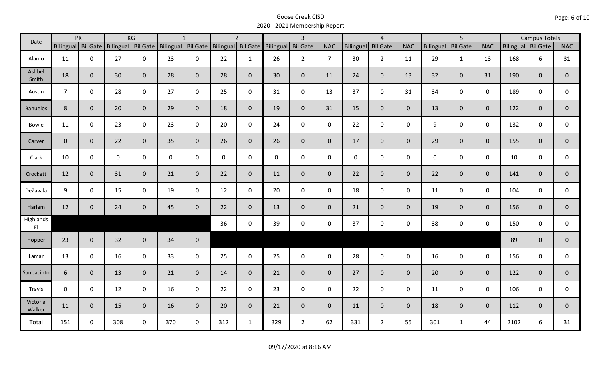| Date                                |                | PK                 |           | KG              |     | $\mathbf{1}$       |                    | $\overline{2}$ |                     | $\overline{3}$  |                |             | $\overline{4}$      |                |                  | $\overline{5}$  |                |                    | <b>Campus Totals</b> |                |
|-------------------------------------|----------------|--------------------|-----------|-----------------|-----|--------------------|--------------------|----------------|---------------------|-----------------|----------------|-------------|---------------------|----------------|------------------|-----------------|----------------|--------------------|----------------------|----------------|
|                                     |                | Bilingual Bil Gate | Bilingual | <b>Bil Gate</b> |     | Bilingual Bil Gate | Bilingual Bil Gate |                | Bilingual           | <b>Bil Gate</b> | <b>NAC</b>     | Bilingual   | <b>Bil Gate</b>     | <b>NAC</b>     | <b>Bilingual</b> | <b>Bil Gate</b> | <b>NAC</b>     | Bilingual Bil Gate |                      | <b>NAC</b>     |
| Alamo                               | 11             | $\mathbf 0$        | 27        | $\mathbf 0$     | 23  | $\mathbf 0$        | 22                 | $\mathbf{1}$   | 26                  | $2^{\circ}$     | $\overline{7}$ | 30          | $\overline{2}$      | 11             | 29               | $\mathbf{1}$    | 13             | 168                | 6                    | 31             |
| Ashbel<br>Smith                     | 18             | $\mathbf{0}$       | 30        | $\overline{0}$  | 28  | $\overline{0}$     | 28                 | $\overline{0}$ | 30                  | $\overline{0}$  | 11             | 24          | $\overline{0}$      | 13             | 32               | $\overline{0}$  | 31             | 190                | $\mathbf{0}$         | 0              |
| Austin                              | $\overline{7}$ | $\mathbf 0$        | 28        | $\mathbf 0$     | 27  | $\mathbf 0$        | 25                 | $\mathbf 0$    | 31                  | $\mathsf{O}$    | 13             | 37          | $\mathsf{O}\xspace$ | 31             | 34               | $\overline{0}$  | $\mathbf 0$    | 189                | $\mathbf 0$          | 0              |
| <b>Banuelos</b>                     | 8              | $\mathbf{0}$       | 20        | $\mathbf{0}$    | 29  | $\mathbf{0}$       | 18                 | $\overline{0}$ | 19                  | $\overline{0}$  | 31             | 15          | $\overline{0}$      | $\overline{0}$ | 13               | $\overline{0}$  | $\overline{0}$ | 122                | $\overline{0}$       | $\overline{0}$ |
| Bowie                               | 11             | $\mathbf 0$        | 23        | $\mathsf{O}$    | 23  | $\mathbf 0$        | 20                 | $\mathbf 0$    | 24                  | $\mathbf 0$     | $\mathbf 0$    | 22          | $\mathbf 0$         | $\mathbf 0$    | 9                | $\mathbf 0$     | $\mathbf 0$    | 132                | $\mathbf 0$          | 0              |
| Carver                              | $\mathbf 0$    | $\mathbf{0}$       | 22        | $\mathbf 0$     | 35  | $\mathbf{0}$       | 26                 | $\overline{0}$ | 26                  | $\overline{0}$  | $\overline{0}$ | 17          | $\overline{0}$      | $\overline{0}$ | 29               | $\overline{0}$  | $\overline{0}$ | 155                | $\overline{0}$       | $\overline{0}$ |
| Clark                               | 10             | $\mathbf 0$        | 0         | $\mathbf 0$     | 0   | 0                  | $\mathbf 0$        | $\mathbf 0$    | $\mathsf{O}\xspace$ | $\mathsf{O}$    | $\mathbf 0$    | $\mathbf 0$ | $\mathsf{O}$        | $\mathbf 0$    | $\mathbf 0$      | $\mathbf 0$     | $\mathbf 0$    | 10                 | $\mathbf 0$          | 0              |
| Crockett                            | 12             | $\mathbf{0}$       | 31        | $\mathbf 0$     | 21  | $\mathbf 0$        | 22                 | $\overline{0}$ | 11                  | $\overline{0}$  | $\overline{0}$ | 22          | $\overline{0}$      | $\overline{0}$ | 22               | $\overline{0}$  | $\mathbf{0}$   | 141                | $\overline{0}$       | $\overline{0}$ |
| DeZavala                            | 9              | $\mathbf 0$        | 15        | $\mathbf 0$     | 19  | $\mathbf 0$        | 12                 | $\mathbf 0$    | 20                  | $\mathsf{O}$    | $\mathbf 0$    | 18          | $\mathbf 0$         | $\mathbf 0$    | 11               | $\mathbf 0$     | $\mathbf 0$    | 104                | $\mathbf 0$          | $\mathbf 0$    |
| Harlem                              | 12             | $\mathbf{0}$       | 24        | $\mathbf 0$     | 45  | $\mathbf 0$        | 22                 | $\overline{0}$ | 13                  | $\overline{0}$  | $\overline{0}$ | 21          | $\overline{0}$      | $\overline{0}$ | 19               | $\overline{0}$  | $\overline{0}$ | 156                | $\mathbf{0}$         | $\mathbf{0}$   |
| Highlands<br>$\mathsf{E}\mathsf{I}$ |                |                    |           |                 |     |                    | 36                 | $\mathbf 0$    | 39                  | $\mathsf{O}$    | $\mathbf 0$    | 37          | $\mathbf 0$         | $\mathsf{O}$   | 38               | $\mathbf 0$     | $\mathbf 0$    | 150                | $\mathbf 0$          | $\mathbf 0$    |
| Hopper                              | 23             | $\mathbf{0}$       | 32        | $\overline{0}$  | 34  | $\mathbf 0$        |                    |                |                     |                 |                |             |                     |                |                  |                 |                | 89                 | $\mathbf{0}$         | $\mathbf 0$    |
| Lamar                               | 13             | $\mathbf 0$        | 16        | $\mathbf 0$     | 33  | $\mathbf 0$        | 25                 | $\mathbf 0$    | 25                  | $\mathbf 0$     | $\mathbf 0$    | 28          | $\mathbf 0$         | $\mathsf{O}$   | 16               | $\mathbf 0$     | $\mathbf 0$    | 156                | $\mathbf 0$          | $\mathbf 0$    |
| San Jacinto                         | 6              | $\mathbf{0}$       | 13        | $\mathbf{0}$    | 21  | $\mathbf{0}$       | 14                 | $\overline{0}$ | 21                  | $\overline{0}$  | $\mathbf{0}$   | 27          | $\mathbf 0$         | $\overline{0}$ | 20               | $\overline{0}$  | $\mathbf{0}$   | 122                | $\mathbf 0$          | $\overline{0}$ |
| Travis                              | $\mathbf 0$    | $\mathbf 0$        | 12        | $\mathbf 0$     | 16  | $\mathbf 0$        | 22                 | $\mathbf 0$    | 23                  | $\mathbf 0$     | $\mathbf 0$    | 22          | $\mathbf 0$         | $\mathbf 0$    | 11               | $\mathbf 0$     | $\mathbf 0$    | 106                | $\mathbf 0$          | $\mathbf 0$    |
| Victoria<br>Walker                  | 11             | $\mathbf 0$        | 15        | $\mathbf 0$     | 16  | $\mathbf{0}$       | 20                 | $\overline{0}$ | 21                  | $\overline{0}$  | $\mathbf 0$    | 11          | $\overline{0}$      | $\overline{0}$ | 18               | $\mathbf{0}$    | $\mathbf{0}$   | 112                | $\mathbf 0$          | $\mathbf 0$    |
| Total                               | 151            | $\mathbf 0$        | 308       | $\mathbf 0$     | 370 | $\mathbf 0$        | 312                | $\mathbf{1}$   | 329                 | $2^{\circ}$     | 62             | 331         | $2^{\circ}$         | 55             | 301              | $\mathbf{1}$    | 44             | 2102               | 6                    | 31             |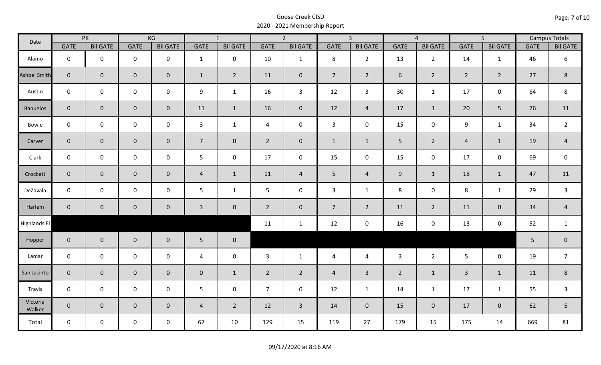| Date               |                | PK                  |                     | KG              |                | $\overline{1}$  |                | $\overline{2}$      |                | $\overline{3}$  |                | $\overline{4}$  |                | $\overline{5}$  |             | <b>Campus Totals</b> |
|--------------------|----------------|---------------------|---------------------|-----------------|----------------|-----------------|----------------|---------------------|----------------|-----------------|----------------|-----------------|----------------|-----------------|-------------|----------------------|
|                    | GATE           | <b>Bil GATE</b>     | <b>GATE</b>         | <b>Bil GATE</b> | GATE           | <b>Bil GATE</b> | <b>GATE</b>    | <b>Bil GATE</b>     | <b>GATE</b>    | <b>Bil GATE</b> | <b>GATE</b>    | <b>Bil GATE</b> | <b>GATE</b>    | <b>Bil GATE</b> | <b>GATE</b> | <b>Bil GATE</b>      |
| Alamo              | $\mathbf 0$    | $\mathbf 0$         | $\mathbf 0$         | $\mathbf 0$     | $\mathbf{1}$   | $\mathbf 0$     | 10             | $\mathbf{1}$        | 8              | $2^{\circ}$     | 13             | $\overline{2}$  | 14             | $\mathbf{1}$    | 46          | 6                    |
| Ashbel Smith       | $\overline{0}$ | $\mathbf 0$         | $\mathbf 0$         | $\overline{0}$  | $\mathbf{1}$   | $\overline{2}$  | 11             | $\mathbf 0$         | $\overline{7}$ | $2^{\circ}$     | 6              | $2^{\circ}$     | $2^{\circ}$    | $\overline{2}$  | 27          | 8                    |
| Austin             | $\mathsf{O}$   | $\mathbf 0$         | $\mathbf 0$         | $\mathbf 0$     | 9              | $\mathbf{1}$    | 16             | $\mathbf{3}$        | 12             | $\mathbf{3}$    | 30             | $\mathbf{1}$    | 17             | $\mathsf{O}$    | 84          | 8                    |
| <b>Banuelos</b>    | $\overline{0}$ | $\mathbf{0}$        | $\pmb{0}$           | $\overline{0}$  | 11             | $\mathbf{1}$    | 16             | $\mathbf 0$         | 12             | $\overline{4}$  | 17             | $\mathbf{1}$    | 20             | 5               | 76          | 11                   |
| Bowie              | $\mathbf 0$    | $\mathbf 0$         | $\mathbf 0$         | $\mathbf 0$     | $\mathbf{3}$   | $\mathbf{1}$    | $\overline{4}$ | $\mathbf 0$         | $\mathbf{3}$   | $\mathbf 0$     | 15             | $\mathsf{O}$    | 9              | $\mathbf{1}$    | 34          | $\overline{2}$       |
| Carver             | $\overline{0}$ | $\mathbf{0}$        | $\pmb{0}$           | $\overline{0}$  | $\overline{7}$ | $\mathbf 0$     | $2^{\circ}$    | $\mathbf 0$         | $\mathbf{1}$   | $\mathbf{1}$    | 5              | $2^{\circ}$     | $\overline{4}$ | $\mathbf{1}$    | 19          | $\overline{4}$       |
| Clark              | $\mathbf 0$    | $\mathbf 0$         | $\mathbf 0$         | $\mathbf 0$     | 5 <sub>1</sub> | $\mathbf 0$     | 17             | $\mathbf 0$         | 15             | $\mathbf 0$     | 15             | $\mathbf 0$     | 17             | $\mathbf 0$     | 69          | $\mathsf 0$          |
| Crockett           | $\overline{0}$ | $\mathbf 0$         | $\mathsf{O}\xspace$ | $\overline{0}$  | $\overline{4}$ | $\mathbf{1}$    | 11             | $\overline{4}$      | 5 <sub>1</sub> | $\overline{4}$  | $9\,$          | $\mathbf{1}$    | 18             | $\mathbf{1}$    | 47          | 11                   |
| DeZavala           | $\mathbf 0$    | $\mathbf 0$         | $\mathbf 0$         | $\mathbf 0$     | 5              | $\mathbf{1}$    | 5 <sup>1</sup> | $\mathbf 0$         | $\mathbf{3}$   | $\mathbf{1}$    | 8              | 0               | 8              | $\mathbf{1}$    | 29          | $\mathsf{3}$         |
| Harlem             | $\overline{0}$ | $\mathbf 0$         | $\pmb{0}$           | $\mathbf 0$     | $\mathbf{3}$   | $\mathbf 0$     | $\overline{2}$ | $\mathsf{O}\xspace$ | $\overline{7}$ | $2^{\circ}$     | 11             | $2\overline{ }$ | 11             | $\mathbf 0$     | 34          | $\sqrt{4}$           |
| Highlands El       |                |                     |                     |                 |                |                 | 11             | $\mathbf{1}$        | 12             | $\mathbf 0$     | 16             | 0               | 13             | $\mathbf 0$     | 52          | $\mathbf{1}$         |
| Hopper             | $\overline{0}$ | $\overline{0}$      | $\mathbf 0$         | $\mathbf 0$     | 5 <sub>1</sub> | $\mathbf 0$     |                |                     |                |                 |                |                 |                |                 | 5           | $\pmb{0}$            |
| Lamar              | $\mathbf 0$    | $\mathbf 0$         | $\mathbf 0$         | $\mathbf 0$     | $\overline{4}$ | $\mathbf 0$     | $\overline{3}$ | $\mathbf{1}$        | $\overline{4}$ | $\overline{4}$  | $\mathbf{3}$   | $2^{\circ}$     | $5\phantom{.}$ | $\mathbf 0$     | 19          | $\overline{7}$       |
| San Jacinto        | $\mathbf{0}$   | $\mathsf{O}\xspace$ | $\mathbf 0$         | $\mathbf 0$     | $\overline{0}$ | $\mathbf{1}$    | $\overline{2}$ | $\overline{2}$      | $\overline{4}$ | $\overline{3}$  | $\overline{2}$ | $\mathbf{1}$    | $\mathbf{3}$   | $\mathbf{1}$    | 11          | $\,8\,$              |
| Travis             | $\mathbf 0$    | $\mathbf 0$         | $\mathbf 0$         | $\mathbf 0$     | $5\phantom{.}$ | $\mathbf 0$     | $\overline{7}$ | $\mathbf 0$         | 12             | $\mathbf{1}$    | 14             | $\mathbf{1}$    | 17             | $\mathbf{1}$    | 55          | $\mathsf{3}$         |
| Victoria<br>Walker | $\overline{0}$ | $\overline{0}$      | $\mathbf 0$         | $\mathbf 0$     | $\overline{4}$ | $\overline{2}$  | 12             | $\overline{3}$      | 14             | $\overline{0}$  | 15             | $\overline{0}$  | 17             | $\overline{0}$  | 62          | 5                    |
| Total              | $\mathsf{O}$   | $\mathbf 0$         | $\mathbf 0$         | $\mathbf 0$     | 67             | 10              | 129            | 15                  | 119            | 27              | 179            | 15              | 175            | 14              | 669         | 81                   |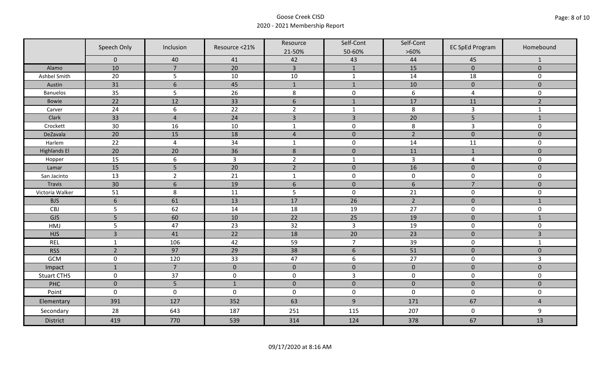|                     | Speech Only         | Inclusion       | Resource <21%  | Resource<br>21-50% | Self-Cont<br>50-60% | Self-Cont<br>$>60\%$ | <b>EC SpEd Program</b> | Homebound      |
|---------------------|---------------------|-----------------|----------------|--------------------|---------------------|----------------------|------------------------|----------------|
|                     | $\mathbf 0$         | 40              | 41             | 42                 | 43                  | 44                   | 45                     | $\mathbf{1}$   |
| Alamo               | 10                  | $\overline{7}$  | 20             | $\overline{3}$     | $\mathbf{1}$        | 15                   | $\pmb{0}$              | $\mathbf 0$    |
| Ashbel Smith        | 20                  | 5               | 10             | $10\,$             | $\mathbf{1}$        | 14                   | 18                     | 0              |
| Austin              | 31                  | $6\phantom{1}6$ | 45             | $\mathbf{1}$       | $\mathbf{1}$        | 10                   | $\pmb{0}$              | $\overline{0}$ |
| <b>Banuelos</b>     | 35                  | 5               | 26             | $\,8\,$            | $\pmb{0}$           | $\boldsymbol{6}$     | $\overline{a}$         | 0              |
| <b>Bowie</b>        | 22                  | 12              | 33             | $\boldsymbol{6}$   | $1\,$               | 17                   | 11                     | $\overline{2}$ |
| Carver              | 24                  | 6               | 22             | $\overline{2}$     | $\mathbf{1}$        | 8                    | $\overline{3}$         | $\mathbf{1}$   |
| Clark               | 33                  | $\overline{4}$  | 24             | $\overline{3}$     | $\overline{3}$      | 20                   | 5                      | $1\,$          |
| Crockett            | 30                  | 16              | 10             | $\mathbf{1}$       | $\pmb{0}$           | 8                    | 3                      | 0              |
| DeZavala            | 20                  | 15              | 18             | $\sqrt{4}$         | $\pmb{0}$           | $\overline{2}$       | $\pmb{0}$              | $\overline{0}$ |
| Harlem              | 22                  | $\overline{4}$  | 34             | $\mathbf 1$        | $\pmb{0}$           | 14                   | 11                     | 0              |
| <b>Highlands El</b> | 20                  | 20              | 36             | $\,$ 8 $\,$        | $\pmb{0}$           | 11                   | $\mathbf 1$            | $\overline{0}$ |
| Hopper              | 15                  | 6               | $\overline{3}$ | $\overline{2}$     | $\mathbf{1}$        | $\overline{3}$       | $\overline{a}$         | 0              |
| Lamar               | 15                  | 5               | 20             | $\overline{2}$     | $\pmb{0}$           | 16                   | $\pmb{0}$              | $\mathbf 0$    |
| San Jacinto         | 13                  | $\overline{2}$  | 21             | $\mathbf{1}$       | $\pmb{0}$           | $\pmb{0}$            | $\mathbf 0$            | 0              |
| Travis              | 30                  | $6\,$           | 19             | $6\,$              | $\pmb{0}$           | $\sqrt{6}$           | $\overline{7}$         | $\mathbf 0$    |
| Victoria Walker     | 51                  | 8               | 11             | 5                  | $\pmb{0}$           | 21                   | $\pmb{0}$              | 0              |
| <b>BJS</b>          | $6\phantom{1}6$     | 61              | 13             | 17                 | 26                  | $\overline{2}$       | $\pmb{0}$              | $\mathbf{1}$   |
| CBJ                 | 5                   | 62              | 14             | 18                 | 19                  | 27                   | $\pmb{0}$              | 0              |
| GJS                 | 5                   | 60              | 10             | 22                 | 25                  | 19                   | $\mathbf 0$            | $\mathbf{1}$   |
| HMJ                 | 5                   | 47              | 23             | 32                 | $\overline{3}$      | 19                   | $\pmb{0}$              | 0              |
| <b>HJS</b>          | $\overline{3}$      | 41              | 22             | 18                 | 20                  | 23                   | $\pmb{0}$              | 3              |
| <b>REL</b>          | $\mathbf{1}$        | 106             | 42             | 59                 | $\overline{7}$      | 39                   | $\pmb{0}$              | $\mathbf{1}$   |
| <b>RSS</b>          | $\overline{2}$      | 97              | 29             | 38                 | $\sqrt{6}$          | 51                   | $\pmb{0}$              | $\mathbf{0}$   |
| GCM                 | $\mathsf{O}\xspace$ | 120             | 33             | 47                 | $\boldsymbol{6}$    | 27                   | $\pmb{0}$              | $\overline{3}$ |
| Impact              | $\mathbf{1}$        | $\overline{7}$  | $\mathbf{0}$   | $\mathbf 0$        | $\mathbf 0$         | $\pmb{0}$            | $\mathbf 0$            | $\overline{0}$ |
| <b>Stuart CTHS</b>  | $\mathsf 0$         | 37              | $\pmb{0}$      | $\pmb{0}$          | $\overline{3}$      | $\pmb{0}$            | $\pmb{0}$              | 0              |
| PHC                 | $\mathbf 0$         | 5               | $1\,$          | $\pmb{0}$          | $\pmb{0}$           | $\pmb{0}$            | $\pmb{0}$              | $\pmb{0}$      |
| Point               | $\mathbf 0$         | $\mathbf 0$     | $\mathbf 0$    | $\boldsymbol{0}$   | $\pmb{0}$           | $\mathbf 0$          | $\pmb{0}$              | 0              |
| Elementary          | 391                 | 127             | 352            | 63                 | $9\,$               | 171                  | 67                     | $\overline{4}$ |
| Secondary           | 28                  | 643             | 187            | 251                | 115                 | 207                  | $\mathbf 0$            | 9              |
| <b>District</b>     | 419                 | 770             | 539            | 314                | 124                 | 378                  | 67                     | 13             |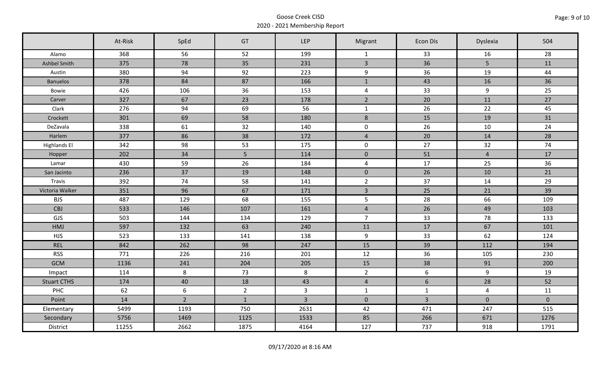|                     | At-Risk | SpEd        | GT             | LEP            | Migrant                 | <b>Econ Dis</b> | Dyslexia       | 504         |
|---------------------|---------|-------------|----------------|----------------|-------------------------|-----------------|----------------|-------------|
| Alamo               | 368     | 56          | 52             | 199            | $\mathbf{1}$            | 33              | 16             | 28          |
| Ashbel Smith        | 375     | 78          | 35             | 231            | $\overline{3}$          | 36              | 5 <sup>5</sup> | 11          |
| Austin              | 380     | 94          | 92             | 223            | 9                       | 36              | 19             | 44          |
| <b>Banuelos</b>     | 378     | 84          | 87             | 166            | $\mathbf{1}$            | 43              | 16             | 36          |
| Bowie               | 426     | 106         | 36             | 153            | $\overline{4}$          | 33              | 9              | 25          |
| Carver              | 327     | 67          | 23             | 178            | $\overline{2}$          | 20              | 11             | 27          |
| Clark               | 276     | 94          | 69             | 56             | $\mathbf{1}$            | 26              | 22             | 45          |
| Crockett            | 301     | 69          | 58             | 180            | $\bf 8$                 | 15              | 19             | 31          |
| DeZavala            | 338     | 61          | 32             | 140            | $\mathbf 0$             | 26              | 10             | 24          |
| Harlem              | 377     | 86          | 38             | 172            | $\overline{4}$          | 20              | 14             | 28          |
| <b>Highlands El</b> | 342     | 98          | 53             | 175            | $\mathsf{O}$            | 27              | 32             | 74          |
| Hopper              | 202     | 34          | 5 <sup>1</sup> | 114            | $\pmb{0}$               | 51              | $\overline{4}$ | 17          |
| Lamar               | 430     | 59          | 26             | 184            | $\overline{\mathbf{4}}$ | 17              | 25             | 36          |
| San Jacinto         | 236     | 37          | 19             | 148            | $\overline{0}$          | 26              | 10             | 21          |
| Travis              | 392     | 74          | 58             | 141            | $\overline{2}$          | 37              | 14             | 29          |
| Victoria Walker     | 351     | 96          | 67             | 171            | $\overline{3}$          | 25              | 21             | 39          |
| <b>BJS</b>          | 487     | 129         | 68             | 155            | 5                       | 28              | 66             | 109         |
| <b>CBJ</b>          | 533     | 146         | 107            | 161            | $\overline{4}$          | 26              | 49             | 103         |
| GJS                 | 503     | 144         | 134            | 129            | $\overline{7}$          | 33              | 78             | 133         |
| HMJ                 | 597     | 132         | 63             | 240            | 11                      | 17              | 67             | 101         |
| <b>HJS</b>          | 523     | 133         | 141            | 138            | 9                       | 33              | 62             | 124         |
| <b>REL</b>          | 842     | 262         | 98             | 247            | 15                      | 39              | 112            | 194         |
| <b>RSS</b>          | 771     | 226         | 216            | 201            | 12                      | 36              | 105            | 230         |
| <b>GCM</b>          | 1136    | 241         | 204            | 205            | 15                      | 38              | 91             | 200         |
| Impact              | 114     | 8           | 73             | 8              | $\overline{2}$          | 6               | 9              | 19          |
| <b>Stuart CTHS</b>  | 174     | 40          | 18             | 43             | $\overline{4}$          | 6               | 28             | 52          |
| PHC                 | 62      | 6           | $2^{\circ}$    | $\overline{3}$ | $\mathbf{1}$            | $\mathbf{1}$    | $\overline{4}$ | 11          |
| Point               | 14      | $2^{\circ}$ | $\mathbf{1}$   | $\overline{3}$ | $\mathbf 0$             | $\overline{3}$  | $\mathbf 0$    | $\mathbf 0$ |
| Elementary          | 5499    | 1193        | 750            | 2631           | 42                      | 471             | 247            | 515         |
| Secondary           | 5756    | 1469        | 1125           | 1533           | 85                      | 266             | 671            | 1276        |
| District            | 11255   | 2662        | 1875           | 4164           | 127                     | 737             | 918            | 1791        |